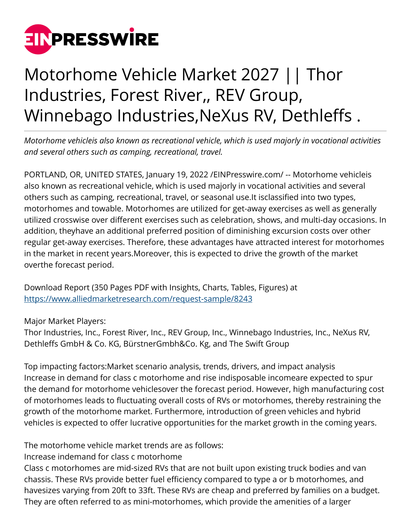

## Motorhome Vehicle Market 2027 || Thor Industries, Forest River,, REV Group, Winnebago Industries,NeXus RV, Dethleffs .

*Motorhome vehicleis also known as recreational vehicle, which is used majorly in vocational activities and several others such as camping, recreational, travel.*

PORTLAND, OR, UNITED STATES, January 19, 2022 /[EINPresswire.com](http://www.einpresswire.com)/ -- Motorhome vehicleis also known as recreational vehicle, which is used majorly in vocational activities and several others such as camping, recreational, travel, or seasonal use.It isclassified into two types, motorhomes and towable. Motorhomes are utilized for get-away exercises as well as generally utilized crosswise over different exercises such as celebration, shows, and multi-day occasions. In addition, theyhave an additional preferred position of diminishing excursion costs over other regular get-away exercises. Therefore, these advantages have attracted interest for motorhomes in the market in recent years.Moreover, this is expected to drive the growth of the market overthe forecast period.

Download Report (350 Pages PDF with Insights, Charts, Tables, Figures) at <https://www.alliedmarketresearch.com/request-sample/8243>

Major Market Players:

Thor Industries, Inc., Forest River, Inc., REV Group, Inc., Winnebago Industries, Inc., NeXus RV, Dethleffs GmbH & Co. KG, BürstnerGmbh&Co. Kg, and The Swift Group

Top impacting factors:Market scenario analysis, trends, drivers, and impact analysis Increase in demand for class c motorhome and rise indisposable incomeare expected to spur the demand for motorhome vehiclesover the forecast period. However, high manufacturing cost of motorhomes leads to fluctuating overall costs of RVs or motorhomes, thereby restraining the growth of the motorhome market. Furthermore, introduction of green vehicles and hybrid vehicles is expected to offer lucrative opportunities for the market growth in the coming years.

The motorhome vehicle market trends are as follows:

Increase indemand for class c motorhome

Class c motorhomes are mid-sized RVs that are not built upon existing truck bodies and van chassis. These RVs provide better fuel efficiency compared to type a or b motorhomes, and havesizes varying from 20ft to 33ft. These RVs are cheap and preferred by families on a budget. They are often referred to as mini-motorhomes, which provide the amenities of a larger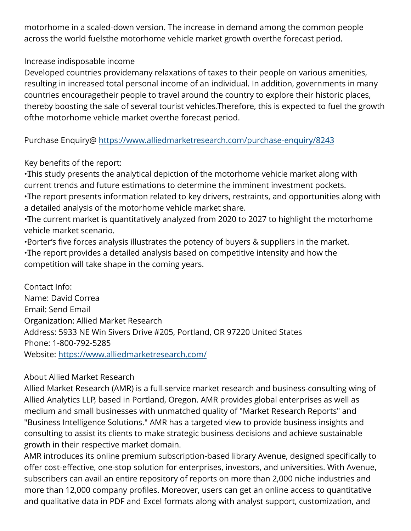motorhome in a scaled-down version. The increase in demand among the common people across the world fuelsthe motorhome vehicle market growth overthe forecast period.

## Increase indisposable income

Developed countries providemany relaxations of taxes to their people on various amenities, resulting in increased total personal income of an individual. In addition, governments in many countries encouragetheir people to travel around the country to explore their historic places, thereby boosting the sale of several tourist vehicles.Therefore, this is expected to fuel the growth ofthe motorhome vehicle market overthe forecast period.

Purchase Enquiry@<https://www.alliedmarketresearch.com/purchase-enquiry/8243>

## Key benefits of the report:

• This study presents the analytical depiction of the motorhome vehicle market along with current trends and future estimations to determine the imminent investment pockets. • The report presents information related to key drivers, restraints, and opportunities along with

a detailed analysis of the motorhome vehicle market share.

• The current market is quantitatively analyzed from 2020 to 2027 to highlight the motorhome vehicle market scenario.

• Porter's five forces analysis illustrates the potency of buyers & suppliers in the market. • The report provides a detailed analysis based on competitive intensity and how the competition will take shape in the coming years.

Contact Info: Name: David Correa Email: Send Email Organization: Allied Market Research Address: 5933 NE Win Sivers Drive #205, Portland, OR 97220 United States Phone: 1-800-792-5285 Website: <https://www.alliedmarketresearch.com/>

## About Allied Market Research

Allied Market Research (AMR) is a full-service market research and business-consulting wing of Allied Analytics LLP, based in Portland, Oregon. AMR provides global enterprises as well as medium and small businesses with unmatched quality of "Market Research Reports" and "Business Intelligence Solutions." AMR has a targeted view to provide business insights and consulting to assist its clients to make strategic business decisions and achieve sustainable growth in their respective market domain.

AMR introduces its online premium subscription-based library Avenue, designed specifically to offer cost-effective, one-stop solution for enterprises, investors, and universities. With Avenue, subscribers can avail an entire repository of reports on more than 2,000 niche industries and more than 12,000 company profiles. Moreover, users can get an online access to quantitative and qualitative data in PDF and Excel formats along with analyst support, customization, and